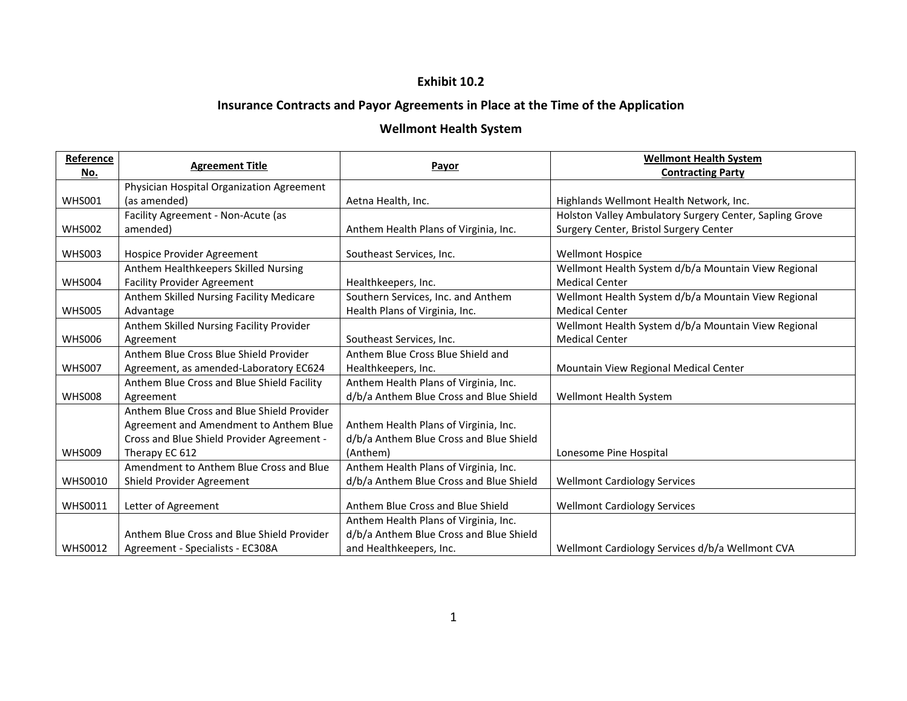## **Exhibit 10.2**

## **Insurance Contracts and Payor Agreements in Place at the Time of the Application**

## **Wellmont Health System**

| Reference      | <b>Agreement Title</b>                     | Payor                                   | <b>Wellmont Health System</b>                           |
|----------------|--------------------------------------------|-----------------------------------------|---------------------------------------------------------|
| No.            |                                            |                                         | <b>Contracting Party</b>                                |
|                | Physician Hospital Organization Agreement  |                                         |                                                         |
| <b>WHS001</b>  | (as amended)                               | Aetna Health, Inc.                      | Highlands Wellmont Health Network, Inc.                 |
|                | Facility Agreement - Non-Acute (as         |                                         | Holston Valley Ambulatory Surgery Center, Sapling Grove |
| <b>WHS002</b>  | amended)                                   | Anthem Health Plans of Virginia, Inc.   | Surgery Center, Bristol Surgery Center                  |
|                |                                            |                                         |                                                         |
| <b>WHS003</b>  | Hospice Provider Agreement                 | Southeast Services, Inc.                | <b>Wellmont Hospice</b>                                 |
|                | Anthem Healthkeepers Skilled Nursing       |                                         | Wellmont Health System d/b/a Mountain View Regional     |
| <b>WHS004</b>  | <b>Facility Provider Agreement</b>         | Healthkeepers, Inc.                     | <b>Medical Center</b>                                   |
|                | Anthem Skilled Nursing Facility Medicare   | Southern Services, Inc. and Anthem      | Wellmont Health System d/b/a Mountain View Regional     |
| <b>WHS005</b>  | Advantage                                  | Health Plans of Virginia, Inc.          | <b>Medical Center</b>                                   |
|                | Anthem Skilled Nursing Facility Provider   |                                         | Wellmont Health System d/b/a Mountain View Regional     |
| <b>WHS006</b>  | Agreement                                  | Southeast Services, Inc.                | <b>Medical Center</b>                                   |
|                | Anthem Blue Cross Blue Shield Provider     | Anthem Blue Cross Blue Shield and       |                                                         |
| <b>WHS007</b>  | Agreement, as amended-Laboratory EC624     | Healthkeepers, Inc.                     | Mountain View Regional Medical Center                   |
|                | Anthem Blue Cross and Blue Shield Facility | Anthem Health Plans of Virginia, Inc.   |                                                         |
| <b>WHS008</b>  | Agreement                                  | d/b/a Anthem Blue Cross and Blue Shield | Wellmont Health System                                  |
|                | Anthem Blue Cross and Blue Shield Provider |                                         |                                                         |
|                | Agreement and Amendment to Anthem Blue     | Anthem Health Plans of Virginia, Inc.   |                                                         |
|                | Cross and Blue Shield Provider Agreement - | d/b/a Anthem Blue Cross and Blue Shield |                                                         |
| <b>WHS009</b>  | Therapy EC 612                             | (Anthem)                                | Lonesome Pine Hospital                                  |
|                | Amendment to Anthem Blue Cross and Blue    | Anthem Health Plans of Virginia, Inc.   |                                                         |
| <b>WHS0010</b> | Shield Provider Agreement                  | d/b/a Anthem Blue Cross and Blue Shield | <b>Wellmont Cardiology Services</b>                     |
|                |                                            |                                         |                                                         |
| <b>WHS0011</b> | Letter of Agreement                        | Anthem Blue Cross and Blue Shield       | <b>Wellmont Cardiology Services</b>                     |
|                |                                            | Anthem Health Plans of Virginia, Inc.   |                                                         |
|                | Anthem Blue Cross and Blue Shield Provider | d/b/a Anthem Blue Cross and Blue Shield |                                                         |
| <b>WHS0012</b> | Agreement - Specialists - EC308A           | and Healthkeepers, Inc.                 | Wellmont Cardiology Services d/b/a Wellmont CVA         |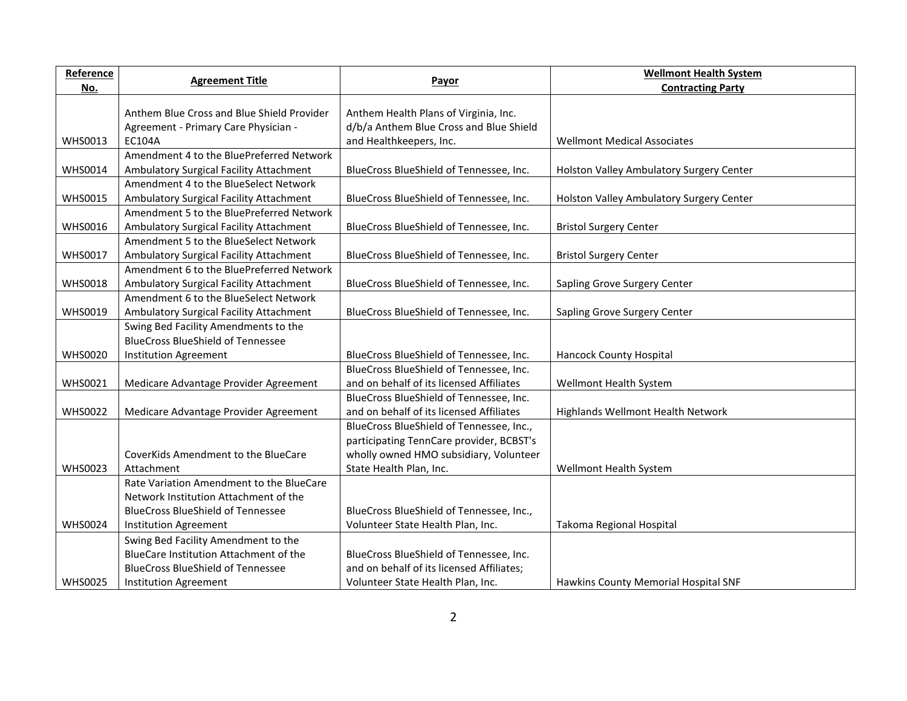| Payor<br>No.<br><b>Contracting Party</b><br>Anthem Blue Cross and Blue Shield Provider<br>Anthem Health Plans of Virginia, Inc.<br>d/b/a Anthem Blue Cross and Blue Shield<br>Agreement - Primary Care Physician -<br><b>WHS0013</b><br>EC104A<br><b>Wellmont Medical Associates</b><br>and Healthkeepers, Inc.<br>Amendment 4 to the BluePreferred Network<br><b>WHS0014</b><br>BlueCross BlueShield of Tennessee, Inc.<br>Ambulatory Surgical Facility Attachment<br>Holston Valley Ambulatory Surgery Center<br>Amendment 4 to the BlueSelect Network<br><b>WHS0015</b><br>BlueCross BlueShield of Tennessee, Inc.<br>Ambulatory Surgical Facility Attachment<br>Holston Valley Ambulatory Surgery Center<br>Amendment 5 to the BluePreferred Network<br><b>WHS0016</b><br>Ambulatory Surgical Facility Attachment<br>BlueCross BlueShield of Tennessee, Inc.<br><b>Bristol Surgery Center</b><br>Amendment 5 to the BlueSelect Network<br><b>WHS0017</b><br>Ambulatory Surgical Facility Attachment<br>BlueCross BlueShield of Tennessee, Inc.<br><b>Bristol Surgery Center</b><br>Amendment 6 to the BluePreferred Network | Reference | <b>Agreement Title</b> | <b>Wellmont Health System</b> |
|---------------------------------------------------------------------------------------------------------------------------------------------------------------------------------------------------------------------------------------------------------------------------------------------------------------------------------------------------------------------------------------------------------------------------------------------------------------------------------------------------------------------------------------------------------------------------------------------------------------------------------------------------------------------------------------------------------------------------------------------------------------------------------------------------------------------------------------------------------------------------------------------------------------------------------------------------------------------------------------------------------------------------------------------------------------------------------------------------------------------------------|-----------|------------------------|-------------------------------|
|                                                                                                                                                                                                                                                                                                                                                                                                                                                                                                                                                                                                                                                                                                                                                                                                                                                                                                                                                                                                                                                                                                                                 |           |                        |                               |
|                                                                                                                                                                                                                                                                                                                                                                                                                                                                                                                                                                                                                                                                                                                                                                                                                                                                                                                                                                                                                                                                                                                                 |           |                        |                               |
|                                                                                                                                                                                                                                                                                                                                                                                                                                                                                                                                                                                                                                                                                                                                                                                                                                                                                                                                                                                                                                                                                                                                 |           |                        |                               |
|                                                                                                                                                                                                                                                                                                                                                                                                                                                                                                                                                                                                                                                                                                                                                                                                                                                                                                                                                                                                                                                                                                                                 |           |                        |                               |
|                                                                                                                                                                                                                                                                                                                                                                                                                                                                                                                                                                                                                                                                                                                                                                                                                                                                                                                                                                                                                                                                                                                                 |           |                        |                               |
|                                                                                                                                                                                                                                                                                                                                                                                                                                                                                                                                                                                                                                                                                                                                                                                                                                                                                                                                                                                                                                                                                                                                 |           |                        |                               |
|                                                                                                                                                                                                                                                                                                                                                                                                                                                                                                                                                                                                                                                                                                                                                                                                                                                                                                                                                                                                                                                                                                                                 |           |                        |                               |
|                                                                                                                                                                                                                                                                                                                                                                                                                                                                                                                                                                                                                                                                                                                                                                                                                                                                                                                                                                                                                                                                                                                                 |           |                        |                               |
|                                                                                                                                                                                                                                                                                                                                                                                                                                                                                                                                                                                                                                                                                                                                                                                                                                                                                                                                                                                                                                                                                                                                 |           |                        |                               |
|                                                                                                                                                                                                                                                                                                                                                                                                                                                                                                                                                                                                                                                                                                                                                                                                                                                                                                                                                                                                                                                                                                                                 |           |                        |                               |
|                                                                                                                                                                                                                                                                                                                                                                                                                                                                                                                                                                                                                                                                                                                                                                                                                                                                                                                                                                                                                                                                                                                                 |           |                        |                               |
|                                                                                                                                                                                                                                                                                                                                                                                                                                                                                                                                                                                                                                                                                                                                                                                                                                                                                                                                                                                                                                                                                                                                 |           |                        |                               |
|                                                                                                                                                                                                                                                                                                                                                                                                                                                                                                                                                                                                                                                                                                                                                                                                                                                                                                                                                                                                                                                                                                                                 |           |                        |                               |
| <b>WHS0018</b><br>Ambulatory Surgical Facility Attachment<br>BlueCross BlueShield of Tennessee, Inc.<br>Sapling Grove Surgery Center                                                                                                                                                                                                                                                                                                                                                                                                                                                                                                                                                                                                                                                                                                                                                                                                                                                                                                                                                                                            |           |                        |                               |
| Amendment 6 to the BlueSelect Network                                                                                                                                                                                                                                                                                                                                                                                                                                                                                                                                                                                                                                                                                                                                                                                                                                                                                                                                                                                                                                                                                           |           |                        |                               |
| <b>WHS0019</b><br>Ambulatory Surgical Facility Attachment<br>BlueCross BlueShield of Tennessee, Inc.<br>Sapling Grove Surgery Center                                                                                                                                                                                                                                                                                                                                                                                                                                                                                                                                                                                                                                                                                                                                                                                                                                                                                                                                                                                            |           |                        |                               |
| Swing Bed Facility Amendments to the                                                                                                                                                                                                                                                                                                                                                                                                                                                                                                                                                                                                                                                                                                                                                                                                                                                                                                                                                                                                                                                                                            |           |                        |                               |
| <b>BlueCross BlueShield of Tennessee</b>                                                                                                                                                                                                                                                                                                                                                                                                                                                                                                                                                                                                                                                                                                                                                                                                                                                                                                                                                                                                                                                                                        |           |                        |                               |
| <b>WHS0020</b><br>BlueCross BlueShield of Tennessee, Inc.<br><b>Hancock County Hospital</b><br>Institution Agreement                                                                                                                                                                                                                                                                                                                                                                                                                                                                                                                                                                                                                                                                                                                                                                                                                                                                                                                                                                                                            |           |                        |                               |
| BlueCross BlueShield of Tennessee, Inc.                                                                                                                                                                                                                                                                                                                                                                                                                                                                                                                                                                                                                                                                                                                                                                                                                                                                                                                                                                                                                                                                                         |           |                        |                               |
| <b>WHS0021</b><br>Medicare Advantage Provider Agreement<br>and on behalf of its licensed Affiliates<br>Wellmont Health System                                                                                                                                                                                                                                                                                                                                                                                                                                                                                                                                                                                                                                                                                                                                                                                                                                                                                                                                                                                                   |           |                        |                               |
| BlueCross BlueShield of Tennessee, Inc.                                                                                                                                                                                                                                                                                                                                                                                                                                                                                                                                                                                                                                                                                                                                                                                                                                                                                                                                                                                                                                                                                         |           |                        |                               |
| <b>WHS0022</b><br>Medicare Advantage Provider Agreement<br>and on behalf of its licensed Affiliates<br>Highlands Wellmont Health Network                                                                                                                                                                                                                                                                                                                                                                                                                                                                                                                                                                                                                                                                                                                                                                                                                                                                                                                                                                                        |           |                        |                               |
| BlueCross BlueShield of Tennessee, Inc.,                                                                                                                                                                                                                                                                                                                                                                                                                                                                                                                                                                                                                                                                                                                                                                                                                                                                                                                                                                                                                                                                                        |           |                        |                               |
| participating TennCare provider, BCBST's                                                                                                                                                                                                                                                                                                                                                                                                                                                                                                                                                                                                                                                                                                                                                                                                                                                                                                                                                                                                                                                                                        |           |                        |                               |
| wholly owned HMO subsidiary, Volunteer<br>CoverKids Amendment to the BlueCare                                                                                                                                                                                                                                                                                                                                                                                                                                                                                                                                                                                                                                                                                                                                                                                                                                                                                                                                                                                                                                                   |           |                        |                               |
| <b>WHS0023</b><br>Attachment<br>State Health Plan, Inc.<br>Wellmont Health System                                                                                                                                                                                                                                                                                                                                                                                                                                                                                                                                                                                                                                                                                                                                                                                                                                                                                                                                                                                                                                               |           |                        |                               |
| Rate Variation Amendment to the BlueCare                                                                                                                                                                                                                                                                                                                                                                                                                                                                                                                                                                                                                                                                                                                                                                                                                                                                                                                                                                                                                                                                                        |           |                        |                               |
| Network Institution Attachment of the                                                                                                                                                                                                                                                                                                                                                                                                                                                                                                                                                                                                                                                                                                                                                                                                                                                                                                                                                                                                                                                                                           |           |                        |                               |
| <b>BlueCross BlueShield of Tennessee</b><br>BlueCross BlueShield of Tennessee, Inc.,<br><b>WHS0024</b>                                                                                                                                                                                                                                                                                                                                                                                                                                                                                                                                                                                                                                                                                                                                                                                                                                                                                                                                                                                                                          |           |                        |                               |
| Volunteer State Health Plan, Inc.<br>Takoma Regional Hospital<br>Institution Agreement                                                                                                                                                                                                                                                                                                                                                                                                                                                                                                                                                                                                                                                                                                                                                                                                                                                                                                                                                                                                                                          |           |                        |                               |
| Swing Bed Facility Amendment to the<br>BlueCare Institution Attachment of the                                                                                                                                                                                                                                                                                                                                                                                                                                                                                                                                                                                                                                                                                                                                                                                                                                                                                                                                                                                                                                                   |           |                        |                               |
| BlueCross BlueShield of Tennessee, Inc.<br><b>BlueCross BlueShield of Tennessee</b><br>and on behalf of its licensed Affiliates;                                                                                                                                                                                                                                                                                                                                                                                                                                                                                                                                                                                                                                                                                                                                                                                                                                                                                                                                                                                                |           |                        |                               |
| <b>WHS0025</b><br>Volunteer State Health Plan, Inc.<br>Hawkins County Memorial Hospital SNF<br>Institution Agreement                                                                                                                                                                                                                                                                                                                                                                                                                                                                                                                                                                                                                                                                                                                                                                                                                                                                                                                                                                                                            |           |                        |                               |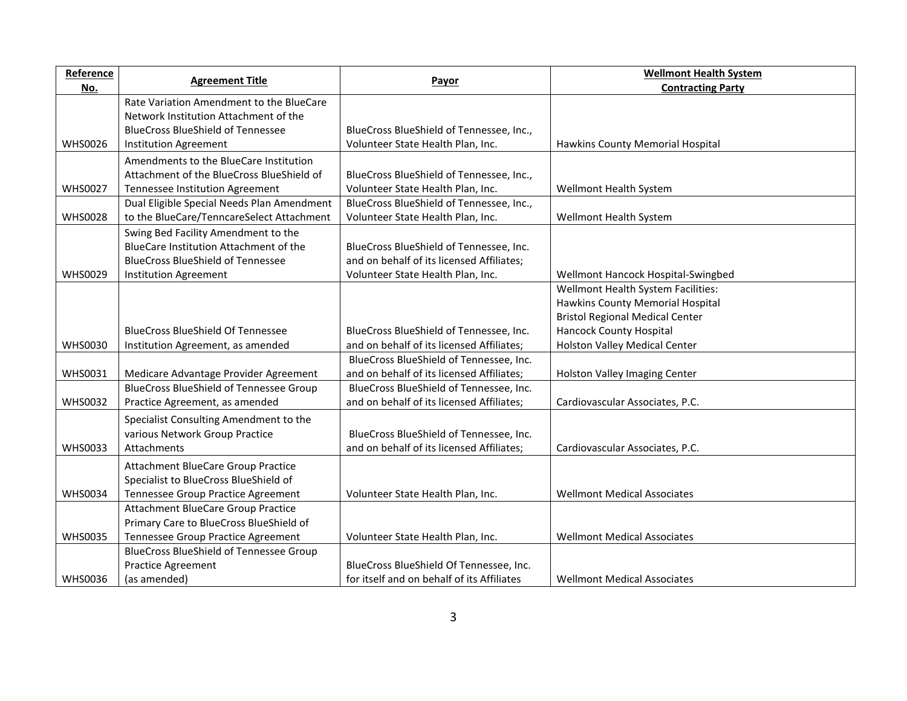| Reference      | <b>Agreement Title</b>                         |                                           | <b>Wellmont Health System</b>          |
|----------------|------------------------------------------------|-------------------------------------------|----------------------------------------|
| <u>No.</u>     |                                                | Payor                                     | <b>Contracting Party</b>               |
|                | Rate Variation Amendment to the BlueCare       |                                           |                                        |
|                | Network Institution Attachment of the          |                                           |                                        |
|                | <b>BlueCross BlueShield of Tennessee</b>       | BlueCross BlueShield of Tennessee, Inc.,  |                                        |
| <b>WHS0026</b> | <b>Institution Agreement</b>                   | Volunteer State Health Plan, Inc.         | Hawkins County Memorial Hospital       |
|                | Amendments to the BlueCare Institution         |                                           |                                        |
|                | Attachment of the BlueCross BlueShield of      | BlueCross BlueShield of Tennessee, Inc.,  |                                        |
| <b>WHS0027</b> | Tennessee Institution Agreement                | Volunteer State Health Plan, Inc.         | Wellmont Health System                 |
|                | Dual Eligible Special Needs Plan Amendment     | BlueCross BlueShield of Tennessee, Inc.,  |                                        |
| <b>WHS0028</b> | to the BlueCare/TenncareSelect Attachment      | Volunteer State Health Plan, Inc.         | Wellmont Health System                 |
|                | Swing Bed Facility Amendment to the            |                                           |                                        |
|                | BlueCare Institution Attachment of the         | BlueCross BlueShield of Tennessee, Inc.   |                                        |
|                | <b>BlueCross BlueShield of Tennessee</b>       | and on behalf of its licensed Affiliates; |                                        |
| <b>WHS0029</b> | <b>Institution Agreement</b>                   | Volunteer State Health Plan, Inc.         | Wellmont Hancock Hospital-Swingbed     |
|                |                                                |                                           | Wellmont Health System Facilities:     |
|                |                                                |                                           | Hawkins County Memorial Hospital       |
|                |                                                |                                           | <b>Bristol Regional Medical Center</b> |
|                | <b>BlueCross BlueShield Of Tennessee</b>       | BlueCross BlueShield of Tennessee, Inc.   | <b>Hancock County Hospital</b>         |
| <b>WHS0030</b> | Institution Agreement, as amended              | and on behalf of its licensed Affiliates; | Holston Valley Medical Center          |
|                |                                                | BlueCross BlueShield of Tennessee, Inc.   |                                        |
| WHS0031        | Medicare Advantage Provider Agreement          | and on behalf of its licensed Affiliates; | Holston Valley Imaging Center          |
|                | <b>BlueCross BlueShield of Tennessee Group</b> | BlueCross BlueShield of Tennessee, Inc.   |                                        |
| <b>WHS0032</b> | Practice Agreement, as amended                 | and on behalf of its licensed Affiliates; | Cardiovascular Associates, P.C.        |
|                | Specialist Consulting Amendment to the         |                                           |                                        |
|                | various Network Group Practice                 | BlueCross BlueShield of Tennessee, Inc.   |                                        |
| <b>WHS0033</b> | Attachments                                    | and on behalf of its licensed Affiliates; | Cardiovascular Associates, P.C.        |
|                | Attachment BlueCare Group Practice             |                                           |                                        |
|                | Specialist to BlueCross BlueShield of          |                                           |                                        |
| <b>WHS0034</b> | Tennessee Group Practice Agreement             | Volunteer State Health Plan, Inc.         | <b>Wellmont Medical Associates</b>     |
|                | Attachment BlueCare Group Practice             |                                           |                                        |
|                | Primary Care to BlueCross BlueShield of        |                                           |                                        |
| <b>WHS0035</b> | Tennessee Group Practice Agreement             | Volunteer State Health Plan, Inc.         | <b>Wellmont Medical Associates</b>     |
|                | <b>BlueCross BlueShield of Tennessee Group</b> |                                           |                                        |
|                | <b>Practice Agreement</b>                      | BlueCross BlueShield Of Tennessee, Inc.   |                                        |
| <b>WHS0036</b> |                                                |                                           |                                        |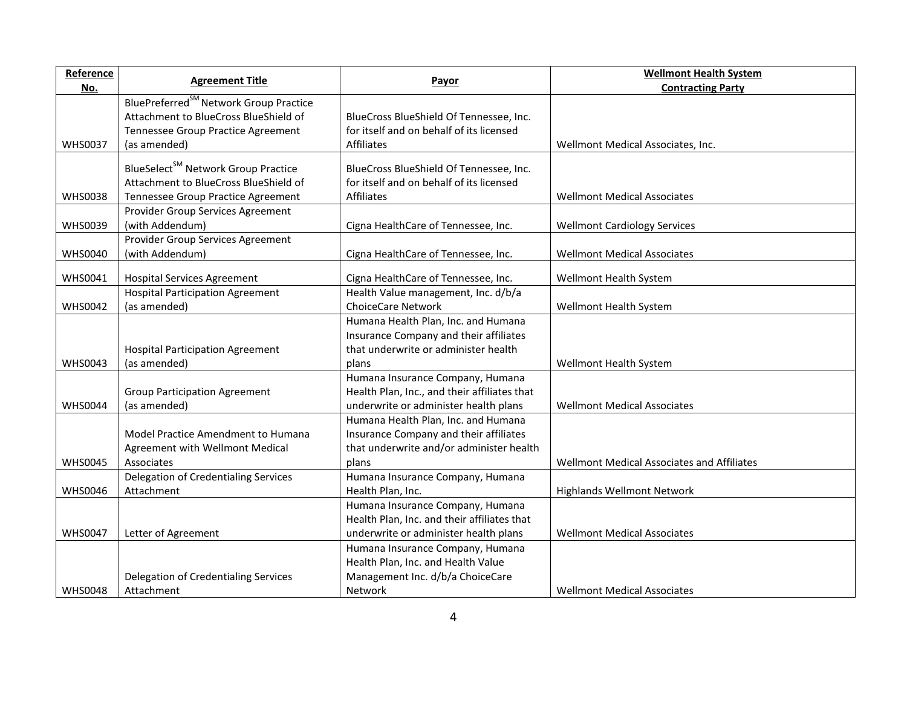| Reference      | <b>Agreement Title</b>                             | Payor                                        | <b>Wellmont Health System</b>              |
|----------------|----------------------------------------------------|----------------------------------------------|--------------------------------------------|
| No.            |                                                    |                                              | <b>Contracting Party</b>                   |
|                | BluePreferred <sup>SM</sup> Network Group Practice |                                              |                                            |
|                | Attachment to BlueCross BlueShield of              | BlueCross BlueShield Of Tennessee, Inc.      |                                            |
|                | Tennessee Group Practice Agreement                 | for itself and on behalf of its licensed     |                                            |
| <b>WHS0037</b> | (as amended)                                       | <b>Affiliates</b>                            | Wellmont Medical Associates, Inc.          |
|                | BlueSelect <sup>SM</sup> Network Group Practice    | BlueCross BlueShield Of Tennessee, Inc.      |                                            |
|                | Attachment to BlueCross BlueShield of              | for itself and on behalf of its licensed     |                                            |
| <b>WHS0038</b> | Tennessee Group Practice Agreement                 | Affiliates                                   | <b>Wellmont Medical Associates</b>         |
|                | Provider Group Services Agreement                  |                                              |                                            |
|                | (with Addendum)                                    |                                              |                                            |
| <b>WHS0039</b> |                                                    | Cigna HealthCare of Tennessee, Inc.          | <b>Wellmont Cardiology Services</b>        |
|                | Provider Group Services Agreement                  |                                              |                                            |
| <b>WHS0040</b> | (with Addendum)                                    | Cigna HealthCare of Tennessee, Inc.          | <b>Wellmont Medical Associates</b>         |
| <b>WHS0041</b> | <b>Hospital Services Agreement</b>                 | Cigna HealthCare of Tennessee, Inc.          | Wellmont Health System                     |
|                | <b>Hospital Participation Agreement</b>            | Health Value management, Inc. d/b/a          |                                            |
| <b>WHS0042</b> | (as amended)                                       | <b>ChoiceCare Network</b>                    | Wellmont Health System                     |
|                |                                                    | Humana Health Plan, Inc. and Humana          |                                            |
|                |                                                    | Insurance Company and their affiliates       |                                            |
|                | <b>Hospital Participation Agreement</b>            | that underwrite or administer health         |                                            |
| <b>WHS0043</b> | (as amended)                                       | plans                                        | Wellmont Health System                     |
|                |                                                    | Humana Insurance Company, Humana             |                                            |
|                | <b>Group Participation Agreement</b>               | Health Plan, Inc., and their affiliates that |                                            |
| <b>WHS0044</b> | (as amended)                                       | underwrite or administer health plans        | <b>Wellmont Medical Associates</b>         |
|                |                                                    | Humana Health Plan, Inc. and Humana          |                                            |
|                | Model Practice Amendment to Humana                 | Insurance Company and their affiliates       |                                            |
|                | Agreement with Wellmont Medical                    | that underwrite and/or administer health     |                                            |
| <b>WHS0045</b> | Associates                                         | plans                                        | Wellmont Medical Associates and Affiliates |
|                | Delegation of Credentialing Services               | Humana Insurance Company, Humana             |                                            |
| <b>WHS0046</b> | Attachment                                         | Health Plan, Inc.                            | <b>Highlands Wellmont Network</b>          |
|                |                                                    | Humana Insurance Company, Humana             |                                            |
|                |                                                    | Health Plan, Inc. and their affiliates that  |                                            |
| <b>WHS0047</b> | Letter of Agreement                                | underwrite or administer health plans        | <b>Wellmont Medical Associates</b>         |
|                |                                                    | Humana Insurance Company, Humana             |                                            |
|                |                                                    | Health Plan, Inc. and Health Value           |                                            |
|                | Delegation of Credentialing Services               | Management Inc. d/b/a ChoiceCare             |                                            |
| <b>WHS0048</b> | Attachment                                         | Network                                      | <b>Wellmont Medical Associates</b>         |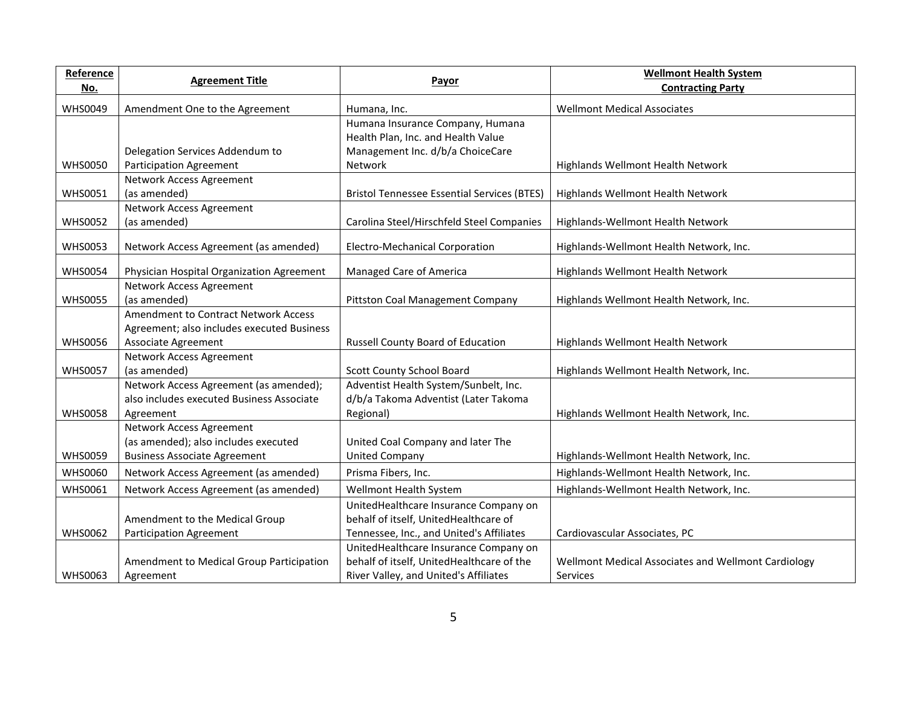| Reference      | <b>Agreement Title</b>                      | <b>Payor</b>                                       | <b>Wellmont Health System</b>                       |
|----------------|---------------------------------------------|----------------------------------------------------|-----------------------------------------------------|
| <u>No.</u>     |                                             |                                                    | <b>Contracting Party</b>                            |
| <b>WHS0049</b> | Amendment One to the Agreement              | Humana, Inc.                                       | <b>Wellmont Medical Associates</b>                  |
|                |                                             | Humana Insurance Company, Humana                   |                                                     |
|                |                                             | Health Plan, Inc. and Health Value                 |                                                     |
|                | Delegation Services Addendum to             | Management Inc. d/b/a ChoiceCare                   |                                                     |
| <b>WHS0050</b> | <b>Participation Agreement</b>              | Network                                            | Highlands Wellmont Health Network                   |
|                | Network Access Agreement                    |                                                    |                                                     |
| <b>WHS0051</b> | (as amended)                                | <b>Bristol Tennessee Essential Services (BTES)</b> | Highlands Wellmont Health Network                   |
|                | Network Access Agreement                    |                                                    |                                                     |
| <b>WHS0052</b> | (as amended)                                | Carolina Steel/Hirschfeld Steel Companies          | Highlands-Wellmont Health Network                   |
| <b>WHS0053</b> | Network Access Agreement (as amended)       | <b>Electro-Mechanical Corporation</b>              | Highlands-Wellmont Health Network, Inc.             |
|                |                                             |                                                    |                                                     |
| <b>WHS0054</b> | Physician Hospital Organization Agreement   | Managed Care of America                            | Highlands Wellmont Health Network                   |
|                | Network Access Agreement                    |                                                    |                                                     |
| <b>WHS0055</b> | (as amended)                                | Pittston Coal Management Company                   | Highlands Wellmont Health Network, Inc.             |
|                | <b>Amendment to Contract Network Access</b> |                                                    |                                                     |
|                | Agreement; also includes executed Business  |                                                    |                                                     |
| <b>WHS0056</b> | Associate Agreement                         | Russell County Board of Education                  | Highlands Wellmont Health Network                   |
|                | Network Access Agreement                    |                                                    |                                                     |
| <b>WHS0057</b> | (as amended)                                | Scott County School Board                          | Highlands Wellmont Health Network, Inc.             |
|                | Network Access Agreement (as amended);      | Adventist Health System/Sunbelt, Inc.              |                                                     |
|                | also includes executed Business Associate   | d/b/a Takoma Adventist (Later Takoma               |                                                     |
| <b>WHS0058</b> | Agreement                                   | Regional)                                          | Highlands Wellmont Health Network, Inc.             |
|                | Network Access Agreement                    |                                                    |                                                     |
|                | (as amended); also includes executed        | United Coal Company and later The                  |                                                     |
| <b>WHS0059</b> | <b>Business Associate Agreement</b>         | <b>United Company</b>                              | Highlands-Wellmont Health Network, Inc.             |
| <b>WHS0060</b> | Network Access Agreement (as amended)       | Prisma Fibers, Inc.                                | Highlands-Wellmont Health Network, Inc.             |
| <b>WHS0061</b> | Network Access Agreement (as amended)       | Wellmont Health System                             | Highlands-Wellmont Health Network, Inc.             |
|                |                                             | UnitedHealthcare Insurance Company on              |                                                     |
|                | Amendment to the Medical Group              | behalf of itself, UnitedHealthcare of              |                                                     |
| <b>WHS0062</b> | <b>Participation Agreement</b>              | Tennessee, Inc., and United's Affiliates           | Cardiovascular Associates, PC                       |
|                |                                             | UnitedHealthcare Insurance Company on              |                                                     |
|                | Amendment to Medical Group Participation    | behalf of itself, UnitedHealthcare of the          | Wellmont Medical Associates and Wellmont Cardiology |
| <b>WHS0063</b> | Agreement                                   | River Valley, and United's Affiliates              | Services                                            |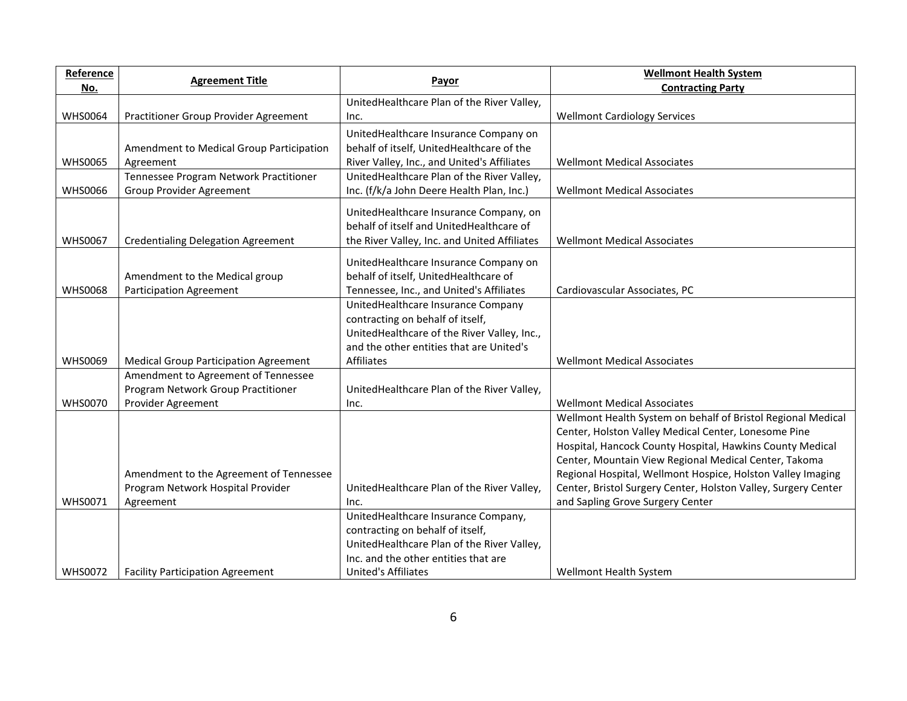| Reference      | <b>Agreement Title</b>                       |                                              | <b>Wellmont Health System</b>                                  |
|----------------|----------------------------------------------|----------------------------------------------|----------------------------------------------------------------|
| No.            |                                              | Payor                                        | <b>Contracting Party</b>                                       |
|                |                                              | UnitedHealthcare Plan of the River Valley,   |                                                                |
| <b>WHS0064</b> | Practitioner Group Provider Agreement        | Inc.                                         | <b>Wellmont Cardiology Services</b>                            |
|                |                                              | UnitedHealthcare Insurance Company on        |                                                                |
|                | Amendment to Medical Group Participation     | behalf of itself, UnitedHealthcare of the    |                                                                |
| <b>WHS0065</b> | Agreement                                    | River Valley, Inc., and United's Affiliates  | <b>Wellmont Medical Associates</b>                             |
|                | Tennessee Program Network Practitioner       | UnitedHealthcare Plan of the River Valley,   |                                                                |
| <b>WHS0066</b> | Group Provider Agreement                     | Inc. (f/k/a John Deere Health Plan, Inc.)    | <b>Wellmont Medical Associates</b>                             |
|                |                                              | UnitedHealthcare Insurance Company, on       |                                                                |
|                |                                              | behalf of itself and UnitedHealthcare of     |                                                                |
| <b>WHS0067</b> | <b>Credentialing Delegation Agreement</b>    | the River Valley, Inc. and United Affiliates | <b>Wellmont Medical Associates</b>                             |
|                |                                              |                                              |                                                                |
|                |                                              | UnitedHealthcare Insurance Company on        |                                                                |
|                | Amendment to the Medical group               | behalf of itself, UnitedHealthcare of        |                                                                |
| <b>WHS0068</b> | <b>Participation Agreement</b>               | Tennessee, Inc., and United's Affiliates     | Cardiovascular Associates, PC                                  |
|                |                                              | UnitedHealthcare Insurance Company           |                                                                |
|                |                                              | contracting on behalf of itself,             |                                                                |
|                |                                              | UnitedHealthcare of the River Valley, Inc.,  |                                                                |
|                |                                              | and the other entities that are United's     |                                                                |
| <b>WHS0069</b> | <b>Medical Group Participation Agreement</b> | Affiliates                                   | <b>Wellmont Medical Associates</b>                             |
|                | Amendment to Agreement of Tennessee          |                                              |                                                                |
|                | Program Network Group Practitioner           | UnitedHealthcare Plan of the River Valley,   |                                                                |
| <b>WHS0070</b> | Provider Agreement                           | Inc.                                         | <b>Wellmont Medical Associates</b>                             |
|                |                                              |                                              | Wellmont Health System on behalf of Bristol Regional Medical   |
|                |                                              |                                              | Center, Holston Valley Medical Center, Lonesome Pine           |
|                |                                              |                                              | Hospital, Hancock County Hospital, Hawkins County Medical      |
|                |                                              |                                              | Center, Mountain View Regional Medical Center, Takoma          |
|                | Amendment to the Agreement of Tennessee      |                                              | Regional Hospital, Wellmont Hospice, Holston Valley Imaging    |
|                | Program Network Hospital Provider            | UnitedHealthcare Plan of the River Valley,   | Center, Bristol Surgery Center, Holston Valley, Surgery Center |
| <b>WHS0071</b> | Agreement                                    | Inc.                                         | and Sapling Grove Surgery Center                               |
|                |                                              | UnitedHealthcare Insurance Company,          |                                                                |
|                |                                              | contracting on behalf of itself,             |                                                                |
|                |                                              | UnitedHealthcare Plan of the River Valley,   |                                                                |
|                |                                              | Inc. and the other entities that are         |                                                                |
| <b>WHS0072</b> | <b>Facility Participation Agreement</b>      | <b>United's Affiliates</b>                   | Wellmont Health System                                         |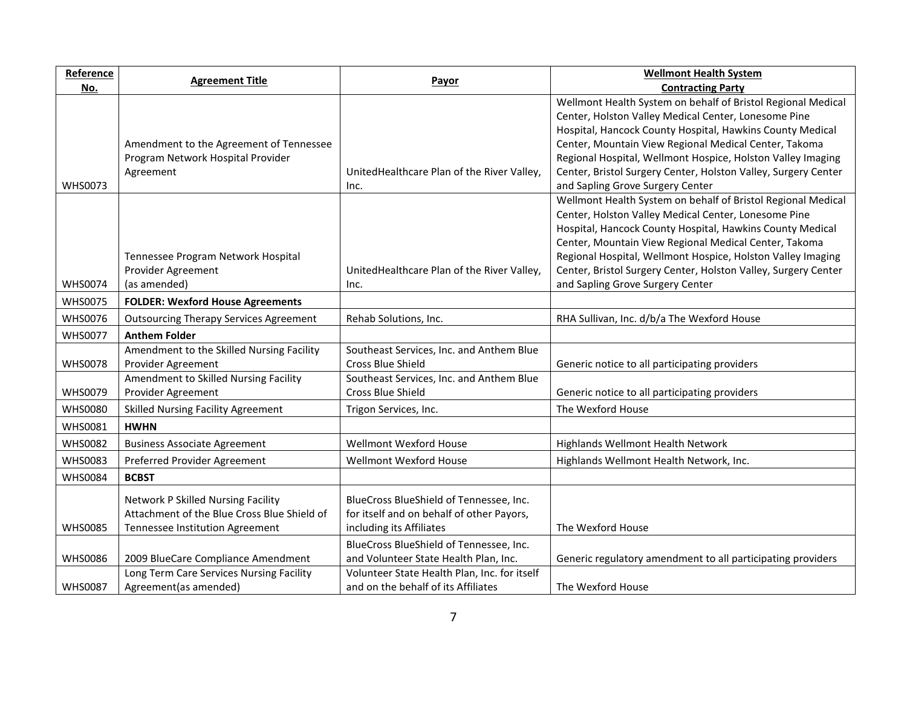| Reference      | <b>Agreement Title</b>                                                                                               |                                                                                                                  | <b>Wellmont Health System</b>                                                                                                                                                                                                                                                                                                                                                                                   |
|----------------|----------------------------------------------------------------------------------------------------------------------|------------------------------------------------------------------------------------------------------------------|-----------------------------------------------------------------------------------------------------------------------------------------------------------------------------------------------------------------------------------------------------------------------------------------------------------------------------------------------------------------------------------------------------------------|
| <u>No.</u>     |                                                                                                                      | Payor                                                                                                            | <b>Contracting Party</b>                                                                                                                                                                                                                                                                                                                                                                                        |
| <b>WHS0073</b> | Amendment to the Agreement of Tennessee<br>Program Network Hospital Provider<br>Agreement                            | UnitedHealthcare Plan of the River Valley,<br>Inc.                                                               | Wellmont Health System on behalf of Bristol Regional Medical<br>Center, Holston Valley Medical Center, Lonesome Pine<br>Hospital, Hancock County Hospital, Hawkins County Medical<br>Center, Mountain View Regional Medical Center, Takoma<br>Regional Hospital, Wellmont Hospice, Holston Valley Imaging<br>Center, Bristol Surgery Center, Holston Valley, Surgery Center<br>and Sapling Grove Surgery Center |
| <b>WHS0074</b> | Tennessee Program Network Hospital<br>Provider Agreement<br>(as amended)                                             | UnitedHealthcare Plan of the River Valley,<br>Inc.                                                               | Wellmont Health System on behalf of Bristol Regional Medical<br>Center, Holston Valley Medical Center, Lonesome Pine<br>Hospital, Hancock County Hospital, Hawkins County Medical<br>Center, Mountain View Regional Medical Center, Takoma<br>Regional Hospital, Wellmont Hospice, Holston Valley Imaging<br>Center, Bristol Surgery Center, Holston Valley, Surgery Center<br>and Sapling Grove Surgery Center |
| <b>WHS0075</b> | <b>FOLDER: Wexford House Agreements</b>                                                                              |                                                                                                                  |                                                                                                                                                                                                                                                                                                                                                                                                                 |
| <b>WHS0076</b> | <b>Outsourcing Therapy Services Agreement</b>                                                                        | Rehab Solutions, Inc.                                                                                            | RHA Sullivan, Inc. d/b/a The Wexford House                                                                                                                                                                                                                                                                                                                                                                      |
| <b>WHS0077</b> | <b>Anthem Folder</b>                                                                                                 |                                                                                                                  |                                                                                                                                                                                                                                                                                                                                                                                                                 |
| <b>WHS0078</b> | Amendment to the Skilled Nursing Facility<br>Provider Agreement                                                      | Southeast Services, Inc. and Anthem Blue<br>Cross Blue Shield                                                    | Generic notice to all participating providers                                                                                                                                                                                                                                                                                                                                                                   |
| <b>WHS0079</b> | Amendment to Skilled Nursing Facility<br>Provider Agreement                                                          | Southeast Services, Inc. and Anthem Blue<br>Cross Blue Shield                                                    | Generic notice to all participating providers                                                                                                                                                                                                                                                                                                                                                                   |
| <b>WHS0080</b> | <b>Skilled Nursing Facility Agreement</b>                                                                            | Trigon Services, Inc.                                                                                            | The Wexford House                                                                                                                                                                                                                                                                                                                                                                                               |
| <b>WHS0081</b> | <b>HWHN</b>                                                                                                          |                                                                                                                  |                                                                                                                                                                                                                                                                                                                                                                                                                 |
| <b>WHS0082</b> | <b>Business Associate Agreement</b>                                                                                  | Wellmont Wexford House                                                                                           | Highlands Wellmont Health Network                                                                                                                                                                                                                                                                                                                                                                               |
| <b>WHS0083</b> | Preferred Provider Agreement                                                                                         | <b>Wellmont Wexford House</b>                                                                                    | Highlands Wellmont Health Network, Inc.                                                                                                                                                                                                                                                                                                                                                                         |
| <b>WHS0084</b> | <b>BCBST</b>                                                                                                         |                                                                                                                  |                                                                                                                                                                                                                                                                                                                                                                                                                 |
| <b>WHS0085</b> | Network P Skilled Nursing Facility<br>Attachment of the Blue Cross Blue Shield of<br>Tennessee Institution Agreement | BlueCross BlueShield of Tennessee, Inc.<br>for itself and on behalf of other Payors,<br>including its Affiliates | The Wexford House                                                                                                                                                                                                                                                                                                                                                                                               |
| <b>WHS0086</b> | 2009 BlueCare Compliance Amendment                                                                                   | BlueCross BlueShield of Tennessee, Inc.<br>and Volunteer State Health Plan, Inc.                                 | Generic regulatory amendment to all participating providers                                                                                                                                                                                                                                                                                                                                                     |
| <b>WHS0087</b> | Long Term Care Services Nursing Facility<br>Agreement (as amended)                                                   | Volunteer State Health Plan, Inc. for itself<br>and on the behalf of its Affiliates                              | The Wexford House                                                                                                                                                                                                                                                                                                                                                                                               |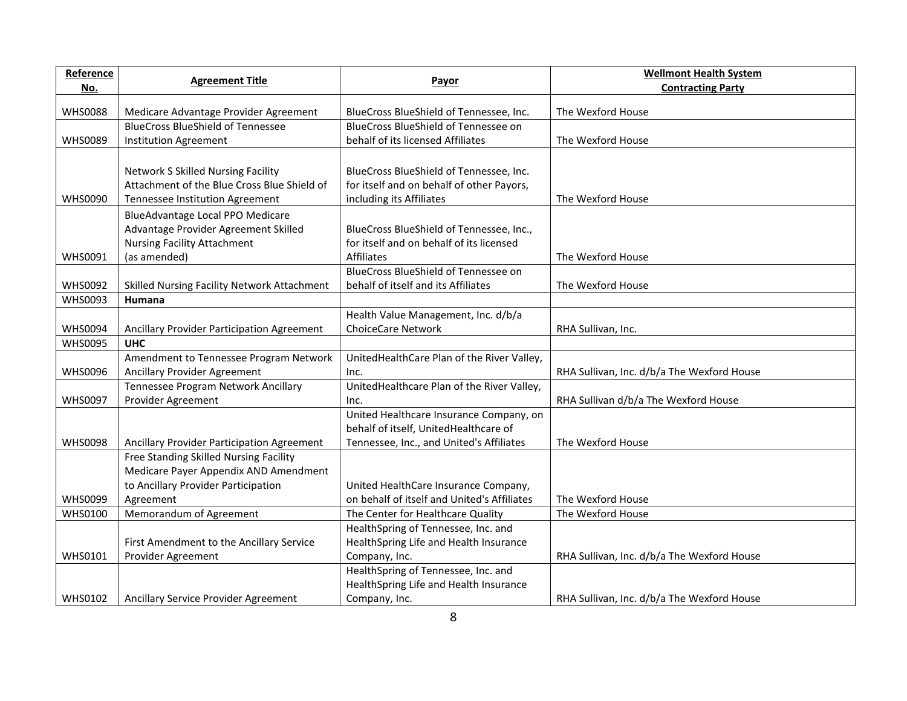| Reference      | <b>Agreement Title</b>                      | Payor                                       | <b>Wellmont Health System</b>              |
|----------------|---------------------------------------------|---------------------------------------------|--------------------------------------------|
| No.            |                                             |                                             | <b>Contracting Party</b>                   |
| <b>WHS0088</b> | Medicare Advantage Provider Agreement       | BlueCross BlueShield of Tennessee, Inc.     | The Wexford House                          |
|                | <b>BlueCross BlueShield of Tennessee</b>    | BlueCross BlueShield of Tennessee on        |                                            |
| <b>WHS0089</b> | <b>Institution Agreement</b>                | behalf of its licensed Affiliates           | The Wexford House                          |
|                |                                             |                                             |                                            |
|                | <b>Network S Skilled Nursing Facility</b>   | BlueCross BlueShield of Tennessee, Inc.     |                                            |
|                | Attachment of the Blue Cross Blue Shield of | for itself and on behalf of other Payors,   |                                            |
| <b>WHS0090</b> | Tennessee Institution Agreement             | including its Affiliates                    | The Wexford House                          |
|                | BlueAdvantage Local PPO Medicare            |                                             |                                            |
|                | Advantage Provider Agreement Skilled        | BlueCross BlueShield of Tennessee, Inc.,    |                                            |
|                | <b>Nursing Facility Attachment</b>          | for itself and on behalf of its licensed    |                                            |
| <b>WHS0091</b> | (as amended)                                | Affiliates                                  | The Wexford House                          |
|                |                                             | BlueCross BlueShield of Tennessee on        |                                            |
| <b>WHS0092</b> | Skilled Nursing Facility Network Attachment | behalf of itself and its Affiliates         | The Wexford House                          |
| <b>WHS0093</b> | Humana                                      |                                             |                                            |
|                |                                             | Health Value Management, Inc. d/b/a         |                                            |
| <b>WHS0094</b> | Ancillary Provider Participation Agreement  | <b>ChoiceCare Network</b>                   | RHA Sullivan, Inc.                         |
| <b>WHS0095</b> | <b>UHC</b>                                  |                                             |                                            |
|                | Amendment to Tennessee Program Network      | UnitedHealthCare Plan of the River Valley,  |                                            |
| <b>WHS0096</b> | Ancillary Provider Agreement                | Inc.                                        | RHA Sullivan, Inc. d/b/a The Wexford House |
|                | Tennessee Program Network Ancillary         | UnitedHealthcare Plan of the River Valley,  |                                            |
| <b>WHS0097</b> | Provider Agreement                          | Inc.                                        | RHA Sullivan d/b/a The Wexford House       |
|                |                                             | United Healthcare Insurance Company, on     |                                            |
|                |                                             | behalf of itself, UnitedHealthcare of       |                                            |
| <b>WHS0098</b> | Ancillary Provider Participation Agreement  | Tennessee, Inc., and United's Affiliates    | The Wexford House                          |
|                | Free Standing Skilled Nursing Facility      |                                             |                                            |
|                | Medicare Payer Appendix AND Amendment       |                                             |                                            |
|                | to Ancillary Provider Participation         | United HealthCare Insurance Company,        |                                            |
| <b>WHS0099</b> | Agreement                                   | on behalf of itself and United's Affiliates | The Wexford House                          |
| <b>WHS0100</b> | Memorandum of Agreement                     | The Center for Healthcare Quality           | The Wexford House                          |
|                |                                             | HealthSpring of Tennessee, Inc. and         |                                            |
|                | First Amendment to the Ancillary Service    | HealthSpring Life and Health Insurance      |                                            |
| <b>WHS0101</b> | Provider Agreement                          | Company, Inc.                               | RHA Sullivan, Inc. d/b/a The Wexford House |
|                |                                             | HealthSpring of Tennessee, Inc. and         |                                            |
|                |                                             | HealthSpring Life and Health Insurance      |                                            |
| <b>WHS0102</b> | Ancillary Service Provider Agreement        | Company, Inc.                               | RHA Sullivan, Inc. d/b/a The Wexford House |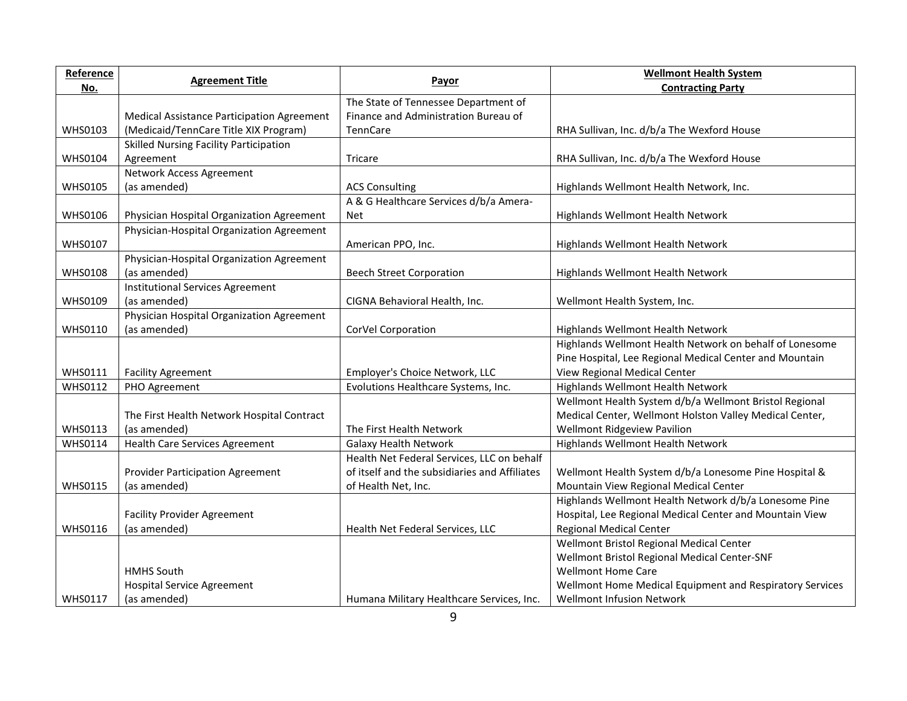| Reference      |                                            |                                               | <b>Wellmont Health System</b>                            |
|----------------|--------------------------------------------|-----------------------------------------------|----------------------------------------------------------|
| No.            | <b>Agreement Title</b>                     | Payor                                         | <b>Contracting Party</b>                                 |
|                |                                            | The State of Tennessee Department of          |                                                          |
|                | Medical Assistance Participation Agreement | Finance and Administration Bureau of          |                                                          |
| <b>WHS0103</b> | (Medicaid/TennCare Title XIX Program)      | TennCare                                      | RHA Sullivan, Inc. d/b/a The Wexford House               |
|                | Skilled Nursing Facility Participation     |                                               |                                                          |
| <b>WHS0104</b> | Agreement                                  | Tricare                                       | RHA Sullivan, Inc. d/b/a The Wexford House               |
|                | Network Access Agreement                   |                                               |                                                          |
| <b>WHS0105</b> | (as amended)                               | <b>ACS Consulting</b>                         | Highlands Wellmont Health Network, Inc.                  |
|                |                                            | A & G Healthcare Services d/b/a Amera-        |                                                          |
| <b>WHS0106</b> | Physician Hospital Organization Agreement  | <b>Net</b>                                    | Highlands Wellmont Health Network                        |
|                | Physician-Hospital Organization Agreement  |                                               |                                                          |
| <b>WHS0107</b> |                                            | American PPO, Inc.                            | Highlands Wellmont Health Network                        |
|                | Physician-Hospital Organization Agreement  |                                               |                                                          |
| <b>WHS0108</b> | (as amended)                               | <b>Beech Street Corporation</b>               | Highlands Wellmont Health Network                        |
|                | <b>Institutional Services Agreement</b>    |                                               |                                                          |
| <b>WHS0109</b> | (as amended)                               | CIGNA Behavioral Health, Inc.                 | Wellmont Health System, Inc.                             |
|                | Physician Hospital Organization Agreement  |                                               |                                                          |
| <b>WHS0110</b> | (as amended)                               | CorVel Corporation                            | Highlands Wellmont Health Network                        |
|                |                                            |                                               | Highlands Wellmont Health Network on behalf of Lonesome  |
|                |                                            |                                               | Pine Hospital, Lee Regional Medical Center and Mountain  |
| <b>WHS0111</b> | <b>Facility Agreement</b>                  | Employer's Choice Network, LLC                | View Regional Medical Center                             |
| <b>WHS0112</b> | PHO Agreement                              | Evolutions Healthcare Systems, Inc.           | Highlands Wellmont Health Network                        |
|                |                                            |                                               | Wellmont Health System d/b/a Wellmont Bristol Regional   |
|                | The First Health Network Hospital Contract |                                               | Medical Center, Wellmont Holston Valley Medical Center,  |
| <b>WHS0113</b> | (as amended)                               | The First Health Network                      | Wellmont Ridgeview Pavilion                              |
| <b>WHS0114</b> | <b>Health Care Services Agreement</b>      | <b>Galaxy Health Network</b>                  | Highlands Wellmont Health Network                        |
|                |                                            | Health Net Federal Services, LLC on behalf    |                                                          |
|                | <b>Provider Participation Agreement</b>    | of itself and the subsidiaries and Affiliates | Wellmont Health System d/b/a Lonesome Pine Hospital &    |
| <b>WHS0115</b> | (as amended)                               | of Health Net, Inc.                           | Mountain View Regional Medical Center                    |
|                |                                            |                                               | Highlands Wellmont Health Network d/b/a Lonesome Pine    |
|                | <b>Facility Provider Agreement</b>         |                                               | Hospital, Lee Regional Medical Center and Mountain View  |
| <b>WHS0116</b> | (as amended)                               | Health Net Federal Services, LLC              | <b>Regional Medical Center</b>                           |
|                |                                            |                                               | Wellmont Bristol Regional Medical Center                 |
|                |                                            |                                               | Wellmont Bristol Regional Medical Center-SNF             |
|                | <b>HMHS South</b>                          |                                               | <b>Wellmont Home Care</b>                                |
|                | <b>Hospital Service Agreement</b>          |                                               | Wellmont Home Medical Equipment and Respiratory Services |
| <b>WHS0117</b> | (as amended)                               | Humana Military Healthcare Services, Inc.     | Wellmont Infusion Network                                |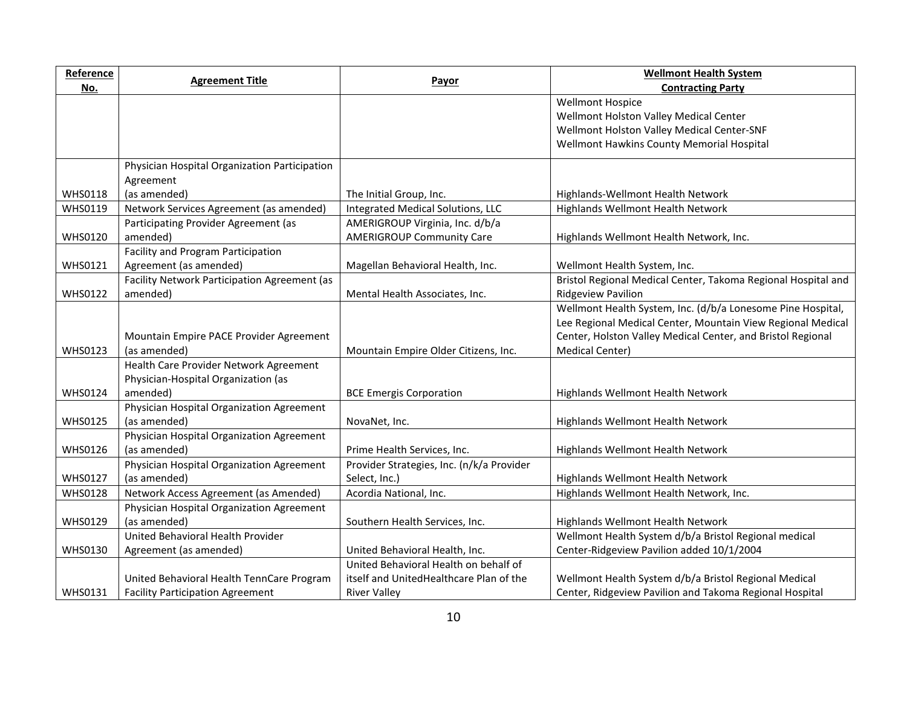| Reference      |                                               |                                           | <b>Wellmont Health System</b>                                 |
|----------------|-----------------------------------------------|-------------------------------------------|---------------------------------------------------------------|
| <u>No.</u>     | <b>Agreement Title</b>                        | Payor                                     | <b>Contracting Party</b>                                      |
|                |                                               |                                           | <b>Wellmont Hospice</b>                                       |
|                |                                               |                                           | Wellmont Holston Valley Medical Center                        |
|                |                                               |                                           | Wellmont Holston Valley Medical Center-SNF                    |
|                |                                               |                                           | Wellmont Hawkins County Memorial Hospital                     |
|                | Physician Hospital Organization Participation |                                           |                                                               |
|                | Agreement                                     |                                           |                                                               |
| <b>WHS0118</b> | (as amended)                                  | The Initial Group, Inc.                   | Highlands-Wellmont Health Network                             |
| <b>WHS0119</b> | Network Services Agreement (as amended)       | Integrated Medical Solutions, LLC         | Highlands Wellmont Health Network                             |
|                | Participating Provider Agreement (as          | AMERIGROUP Virginia, Inc. d/b/a           |                                                               |
| <b>WHS0120</b> | amended)                                      | <b>AMERIGROUP Community Care</b>          | Highlands Wellmont Health Network, Inc.                       |
|                | Facility and Program Participation            |                                           |                                                               |
| <b>WHS0121</b> | Agreement (as amended)                        | Magellan Behavioral Health, Inc.          | Wellmont Health System, Inc.                                  |
|                | Facility Network Participation Agreement (as  |                                           | Bristol Regional Medical Center, Takoma Regional Hospital and |
| <b>WHS0122</b> | amended)                                      | Mental Health Associates, Inc.            | <b>Ridgeview Pavilion</b>                                     |
|                |                                               |                                           | Wellmont Health System, Inc. (d/b/a Lonesome Pine Hospital,   |
|                |                                               |                                           | Lee Regional Medical Center, Mountain View Regional Medical   |
|                | Mountain Empire PACE Provider Agreement       |                                           | Center, Holston Valley Medical Center, and Bristol Regional   |
| <b>WHS0123</b> | (as amended)                                  | Mountain Empire Older Citizens, Inc.      | Medical Center)                                               |
|                | Health Care Provider Network Agreement        |                                           |                                                               |
|                | Physician-Hospital Organization (as           |                                           |                                                               |
| <b>WHS0124</b> | amended)                                      | <b>BCE Emergis Corporation</b>            | Highlands Wellmont Health Network                             |
|                | Physician Hospital Organization Agreement     |                                           |                                                               |
| <b>WHS0125</b> | (as amended)                                  | NovaNet, Inc.                             | Highlands Wellmont Health Network                             |
|                | Physician Hospital Organization Agreement     |                                           |                                                               |
| <b>WHS0126</b> | (as amended)                                  | Prime Health Services, Inc.               | Highlands Wellmont Health Network                             |
|                | Physician Hospital Organization Agreement     | Provider Strategies, Inc. (n/k/a Provider |                                                               |
| <b>WHS0127</b> | (as amended)                                  | Select, Inc.)                             | Highlands Wellmont Health Network                             |
| <b>WHS0128</b> | Network Access Agreement (as Amended)         | Acordia National, Inc.                    | Highlands Wellmont Health Network, Inc.                       |
|                | Physician Hospital Organization Agreement     |                                           |                                                               |
| <b>WHS0129</b> | (as amended)                                  | Southern Health Services, Inc.            | Highlands Wellmont Health Network                             |
|                | United Behavioral Health Provider             |                                           | Wellmont Health System d/b/a Bristol Regional medical         |
| <b>WHS0130</b> | Agreement (as amended)                        | United Behavioral Health, Inc.            | Center-Ridgeview Pavilion added 10/1/2004                     |
|                |                                               | United Behavioral Health on behalf of     |                                                               |
|                | United Behavioral Health TennCare Program     | itself and UnitedHealthcare Plan of the   | Wellmont Health System d/b/a Bristol Regional Medical         |
| <b>WHS0131</b> | <b>Facility Participation Agreement</b>       | <b>River Valley</b>                       | Center, Ridgeview Pavilion and Takoma Regional Hospital       |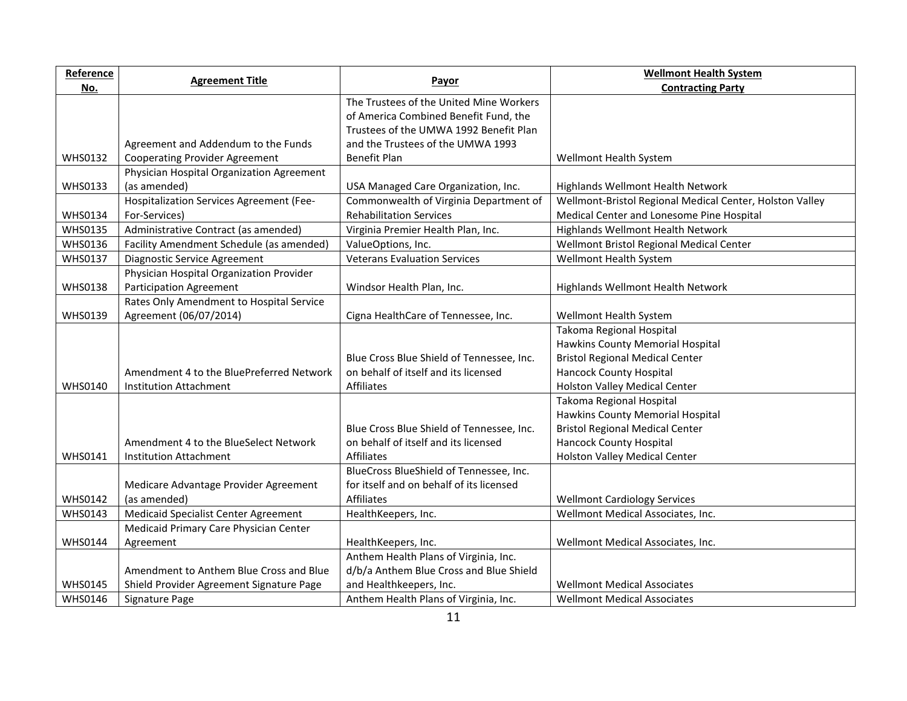| Reference      |                                           |                                           | <b>Wellmont Health System</b>                            |
|----------------|-------------------------------------------|-------------------------------------------|----------------------------------------------------------|
| No.            | <b>Agreement Title</b>                    | Payor                                     | <b>Contracting Party</b>                                 |
|                |                                           | The Trustees of the United Mine Workers   |                                                          |
|                |                                           | of America Combined Benefit Fund, the     |                                                          |
|                |                                           | Trustees of the UMWA 1992 Benefit Plan    |                                                          |
|                | Agreement and Addendum to the Funds       | and the Trustees of the UMWA 1993         |                                                          |
| <b>WHS0132</b> | <b>Cooperating Provider Agreement</b>     | Benefit Plan                              | Wellmont Health System                                   |
|                | Physician Hospital Organization Agreement |                                           |                                                          |
| <b>WHS0133</b> | (as amended)                              | USA Managed Care Organization, Inc.       | Highlands Wellmont Health Network                        |
|                | Hospitalization Services Agreement (Fee-  | Commonwealth of Virginia Department of    | Wellmont-Bristol Regional Medical Center, Holston Valley |
| <b>WHS0134</b> | For-Services)                             | <b>Rehabilitation Services</b>            | Medical Center and Lonesome Pine Hospital                |
| <b>WHS0135</b> | Administrative Contract (as amended)      | Virginia Premier Health Plan, Inc.        | Highlands Wellmont Health Network                        |
| <b>WHS0136</b> | Facility Amendment Schedule (as amended)  | ValueOptions, Inc.                        | Wellmont Bristol Regional Medical Center                 |
| <b>WHS0137</b> | Diagnostic Service Agreement              | <b>Veterans Evaluation Services</b>       | Wellmont Health System                                   |
|                | Physician Hospital Organization Provider  |                                           |                                                          |
| <b>WHS0138</b> | <b>Participation Agreement</b>            | Windsor Health Plan, Inc.                 | Highlands Wellmont Health Network                        |
|                | Rates Only Amendment to Hospital Service  |                                           |                                                          |
| <b>WHS0139</b> | Agreement (06/07/2014)                    | Cigna HealthCare of Tennessee, Inc.       | Wellmont Health System                                   |
|                |                                           |                                           | Takoma Regional Hospital                                 |
|                |                                           |                                           | Hawkins County Memorial Hospital                         |
|                |                                           | Blue Cross Blue Shield of Tennessee, Inc. | <b>Bristol Regional Medical Center</b>                   |
|                | Amendment 4 to the BluePreferred Network  | on behalf of itself and its licensed      | <b>Hancock County Hospital</b>                           |
| <b>WHS0140</b> | <b>Institution Attachment</b>             | <b>Affiliates</b>                         | Holston Valley Medical Center                            |
|                |                                           |                                           | Takoma Regional Hospital                                 |
|                |                                           |                                           | Hawkins County Memorial Hospital                         |
|                |                                           | Blue Cross Blue Shield of Tennessee, Inc. | <b>Bristol Regional Medical Center</b>                   |
|                | Amendment 4 to the BlueSelect Network     | on behalf of itself and its licensed      | <b>Hancock County Hospital</b>                           |
| <b>WHS0141</b> | <b>Institution Attachment</b>             | <b>Affiliates</b>                         | <b>Holston Valley Medical Center</b>                     |
|                |                                           | BlueCross BlueShield of Tennessee, Inc.   |                                                          |
|                | Medicare Advantage Provider Agreement     | for itself and on behalf of its licensed  |                                                          |
| <b>WHS0142</b> | (as amended)                              | Affiliates                                | <b>Wellmont Cardiology Services</b>                      |
| <b>WHS0143</b> | Medicaid Specialist Center Agreement      | HealthKeepers, Inc.                       | Wellmont Medical Associates, Inc.                        |
|                | Medicaid Primary Care Physician Center    |                                           |                                                          |
| <b>WHS0144</b> | Agreement                                 | HealthKeepers, Inc.                       | Wellmont Medical Associates, Inc.                        |
|                |                                           | Anthem Health Plans of Virginia, Inc.     |                                                          |
|                | Amendment to Anthem Blue Cross and Blue   | d/b/a Anthem Blue Cross and Blue Shield   |                                                          |
| <b>WHS0145</b> | Shield Provider Agreement Signature Page  | and Healthkeepers, Inc.                   | <b>Wellmont Medical Associates</b>                       |
| <b>WHS0146</b> | Signature Page                            | Anthem Health Plans of Virginia, Inc.     | <b>Wellmont Medical Associates</b>                       |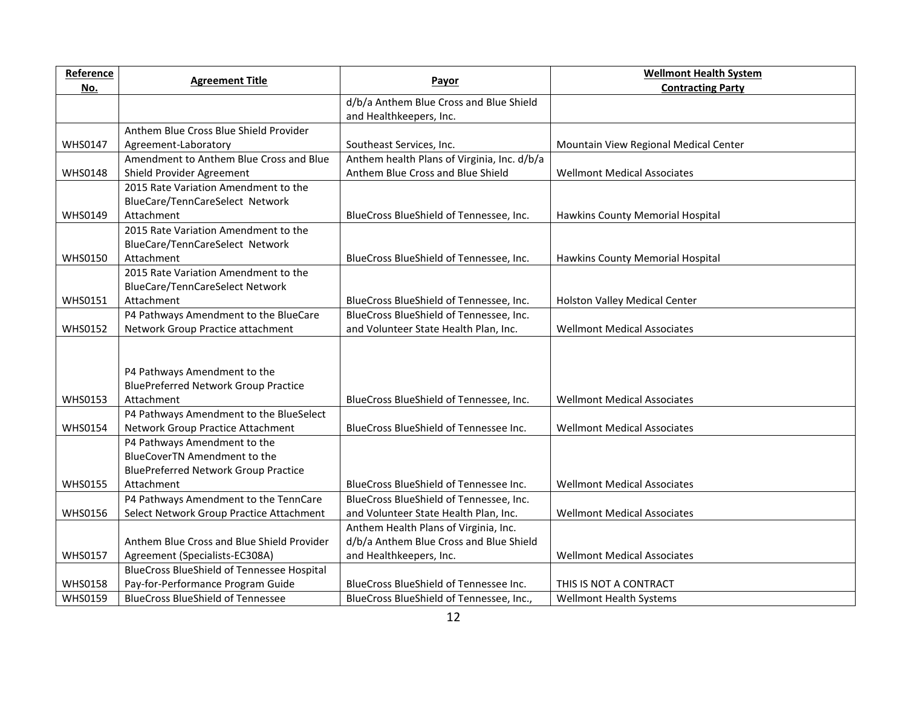| Reference      |                                             |                                             | <b>Wellmont Health System</b>         |
|----------------|---------------------------------------------|---------------------------------------------|---------------------------------------|
| No.            | <b>Agreement Title</b>                      | Payor                                       | <b>Contracting Party</b>              |
|                |                                             | d/b/a Anthem Blue Cross and Blue Shield     |                                       |
|                |                                             | and Healthkeepers, Inc.                     |                                       |
|                | Anthem Blue Cross Blue Shield Provider      |                                             |                                       |
| <b>WHS0147</b> | Agreement-Laboratory                        | Southeast Services, Inc.                    | Mountain View Regional Medical Center |
|                | Amendment to Anthem Blue Cross and Blue     | Anthem health Plans of Virginia, Inc. d/b/a |                                       |
| <b>WHS0148</b> | Shield Provider Agreement                   | Anthem Blue Cross and Blue Shield           | <b>Wellmont Medical Associates</b>    |
|                | 2015 Rate Variation Amendment to the        |                                             |                                       |
|                | BlueCare/TennCareSelect Network             |                                             |                                       |
| <b>WHS0149</b> | Attachment                                  | BlueCross BlueShield of Tennessee, Inc.     | Hawkins County Memorial Hospital      |
|                | 2015 Rate Variation Amendment to the        |                                             |                                       |
|                | BlueCare/TennCareSelect Network             |                                             |                                       |
| <b>WHS0150</b> | Attachment                                  | BlueCross BlueShield of Tennessee, Inc.     | Hawkins County Memorial Hospital      |
|                | 2015 Rate Variation Amendment to the        |                                             |                                       |
|                | <b>BlueCare/TennCareSelect Network</b>      |                                             |                                       |
| <b>WHS0151</b> | Attachment                                  | BlueCross BlueShield of Tennessee, Inc.     | Holston Valley Medical Center         |
|                | P4 Pathways Amendment to the BlueCare       | BlueCross BlueShield of Tennessee, Inc.     |                                       |
| <b>WHS0152</b> | Network Group Practice attachment           | and Volunteer State Health Plan, Inc.       | <b>Wellmont Medical Associates</b>    |
|                |                                             |                                             |                                       |
|                |                                             |                                             |                                       |
|                | P4 Pathways Amendment to the                |                                             |                                       |
|                | <b>BluePreferred Network Group Practice</b> |                                             |                                       |
| <b>WHS0153</b> | Attachment                                  | BlueCross BlueShield of Tennessee, Inc.     | <b>Wellmont Medical Associates</b>    |
|                | P4 Pathways Amendment to the BlueSelect     |                                             |                                       |
| <b>WHS0154</b> | Network Group Practice Attachment           | BlueCross BlueShield of Tennessee Inc.      | <b>Wellmont Medical Associates</b>    |
|                | P4 Pathways Amendment to the                |                                             |                                       |
|                | BlueCoverTN Amendment to the                |                                             |                                       |
|                | <b>BluePreferred Network Group Practice</b> |                                             |                                       |
| <b>WHS0155</b> | Attachment                                  | BlueCross BlueShield of Tennessee Inc.      | <b>Wellmont Medical Associates</b>    |
|                | P4 Pathways Amendment to the TennCare       | BlueCross BlueShield of Tennessee, Inc.     |                                       |
| <b>WHS0156</b> | Select Network Group Practice Attachment    | and Volunteer State Health Plan, Inc.       | <b>Wellmont Medical Associates</b>    |
|                |                                             | Anthem Health Plans of Virginia, Inc.       |                                       |
|                | Anthem Blue Cross and Blue Shield Provider  | d/b/a Anthem Blue Cross and Blue Shield     |                                       |
| <b>WHS0157</b> | Agreement (Specialists-EC308A)              | and Healthkeepers, Inc.                     | <b>Wellmont Medical Associates</b>    |
|                | BlueCross BlueShield of Tennessee Hospital  |                                             |                                       |
| <b>WHS0158</b> | Pay-for-Performance Program Guide           | BlueCross BlueShield of Tennessee Inc.      | THIS IS NOT A CONTRACT                |
| <b>WHS0159</b> | <b>BlueCross BlueShield of Tennessee</b>    | BlueCross BlueShield of Tennessee, Inc.,    | Wellmont Health Systems               |